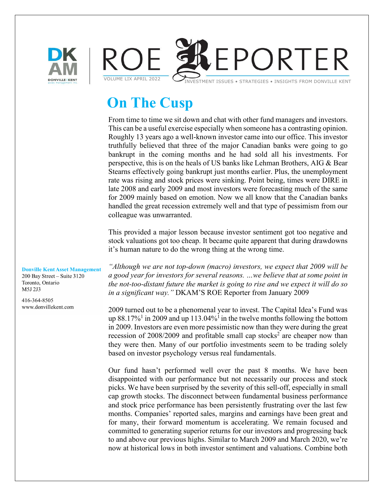



# **On The Cusp**

From time to time we sit down and chat with other fund managers and investors. This can be a useful exercise especially when someone has a contrasting opinion. Roughly 13 years ago a well-known investor came into our office. This investor truthfully believed that three of the major Canadian banks were going to go bankrupt in the coming months and he had sold all his investments. For perspective, this is on the heals of US banks like Lehman Brothers, AIG & Bear Stearns effectively going bankrupt just months earlier. Plus, the unemployment rate was rising and stock prices were sinking. Point being, times were DIRE in late 2008 and early 2009 and most investors were forecasting much of the same for 2009 mainly based on emotion. Now we all know that the Canadian banks handled the great recession extremely well and that type of pessimism from our colleague was unwarranted.

This provided a major lesson because investor sentiment got too negative and stock valuations got too cheap. It became quite apparent that during drawdowns it's human nature to do the wrong thing at the wrong time.

*"Although we are not top-down (macro) investors, we expect that 2009 will be a good year for investors for several reasons. …we believe that at some point in the not-too-distant future the market is going to rise and we expect it will do so in a significant way."* DKAM'S ROE Reporter from January 2009

2009 turned out to be a phenomenal year to invest. The Capital Idea's Fund was up  $88.17\%$ <sup>1</sup> in 2009 and up 113.04%<sup>1</sup> in the twelve months following the bottom in 2009. Investors are even more pessimistic now than they were during the great recession of  $2008/2009$  and profitable small cap stocks<sup>2</sup> are cheaper now than they were then. Many of our portfolio investments seem to be trading solely based on investor psychology versus real fundamentals.

Our fund hasn't performed well over the past 8 months. We have been disappointed with our performance but not necessarily our process and stock picks. We have been surprised by the severity of this sell-off, especially in small cap growth stocks. The disconnect between fundamental business performance and stock price performance has been persistently frustrating over the last few months. Companies' reported sales, margins and earnings have been great and for many, their forward momentum is accelerating. We remain focused and committed to generating superior returns for our investors and progressing back to and above our previous highs. Similar to March 2009 and March 2020, we're now at historical lows in both investor sentiment and valuations. Combine both

**Donville Kent Asset Management** 200 Bay Street - Suite 3120 Toronto, Ontario M5J 2J3

416-364-8505 www.donvillekent.com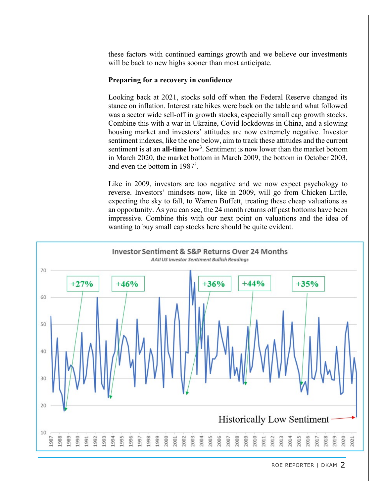these factors with continued earnings growth and we believe our investments will be back to new highs sooner than most anticipate.

## **Preparing for a recovery in confidence**

Looking back at 2021, stocks sold off when the Federal Reserve changed its stance on inflation. Interest rate hikes were back on the table and what followed was a sector wide sell-off in growth stocks, especially small cap growth stocks. Combine this with a war in Ukraine, Covid lockdowns in China, and a slowing housing market and investors' attitudes are now extremely negative. Investor sentiment indexes, like the one below, aim to track these attitudes and the current sentiment is at an **all-time** low<sup>3</sup>. Sentiment is now lower than the market bottom in March 2020, the market bottom in March 2009, the bottom in October 2003, and even the bottom in 1987<sup>3</sup>.

Like in 2009, investors are too negative and we now expect psychology to reverse. Investors' mindsets now, like in 2009, will go from Chicken Little, expecting the sky to fall, to Warren Buffett, treating these cheap valuations as an opportunity. As you can see, the 24 month returns off past bottoms have been impressive. Combine this with our next point on valuations and the idea of wanting to buy small cap stocks here should be quite evident.



ROE REPORTER | DKAM 2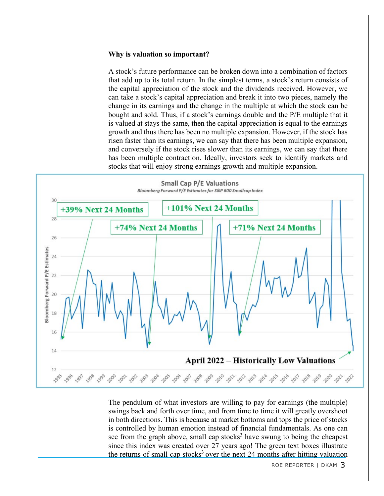### **Why is valuation so important?**

A stock's future performance can be broken down into a combination of factors that add up to its total return. In the simplest terms, a stock's return consists of the capital appreciation of the stock and the dividends received. However, we can take a stock's capital appreciation and break it into two pieces, namely the change in its earnings and the change in the multiple at which the stock can be bought and sold. Thus, if a stock's earnings double and the P/E multiple that it is valued at stays the same, then the capital appreciation is equal to the earnings growth and thus there has been no multiple expansion. However, if the stock has risen faster than its earnings, we can say that there has been multiple expansion, and conversely if the stock rises slower than its earnings, we can say that there has been multiple contraction. Ideally, investors seek to identify markets and stocks that will enjoy strong earnings growth and multiple expansion.



The pendulum of what investors are willing to pay for earnings (the multiple) swings back and forth over time, and from time to time it will greatly overshoot in both directions. This is because at market bottoms and tops the price of stocks is controlled by human emotion instead of financial fundamentals. As one can see from the graph above, small cap stocks<sup>3</sup> have swung to being the cheapest since this index was created over 27 years ago! The green text boxes illustrate the returns of small cap stocks<sup>3</sup> over the next 24 months after hitting valuation

ROE REPORTER | DKAM 3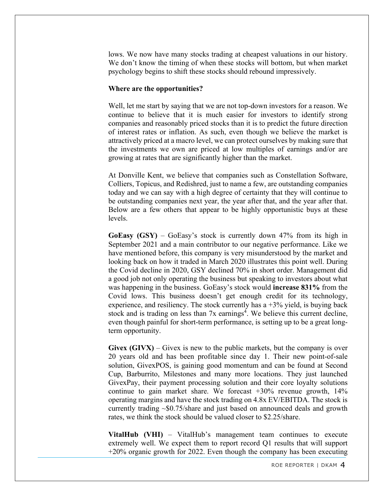lows. We now have many stocks trading at cheapest valuations in our history. We don't know the timing of when these stocks will bottom, but when market psychology begins to shift these stocks should rebound impressively.

#### **Where are the opportunities?**

Well, let me start by saying that we are not top-down investors for a reason. We continue to believe that it is much easier for investors to identify strong companies and reasonably priced stocks than it is to predict the future direction of interest rates or inflation. As such, even though we believe the market is attractively priced at a macro level, we can protect ourselves by making sure that the investments we own are priced at low multiples of earnings and/or are growing at rates that are significantly higher than the market.

At Donville Kent, we believe that companies such as Constellation Software, Colliers, Topicus, and Redishred, just to name a few, are outstanding companies today and we can say with a high degree of certainty that they will continue to be outstanding companies next year, the year after that, and the year after that. Below are a few others that appear to be highly opportunistic buys at these levels.

**GoEasy (GSY)** – GoEasy's stock is currently down 47% from its high in September 2021 and a main contributor to our negative performance. Like we have mentioned before, this company is very misunderstood by the market and looking back on how it traded in March 2020 illustrates this point well. During the Covid decline in 2020, GSY declined 70% in short order. Management did a good job not only operating the business but speaking to investors about what was happening in the business. GoEasy's stock would **increase 831%** from the Covid lows. This business doesn't get enough credit for its technology, experience, and resiliency. The stock currently has a +3% yield, is buying back stock and is trading on less than  $7x$  earnings<sup>4</sup>. We believe this current decline, even though painful for short-term performance, is setting up to be a great longterm opportunity.

**Givex**  $(GIVX)$  – Givex is new to the public markets, but the company is over 20 years old and has been profitable since day 1. Their new point-of-sale solution, GivexPOS, is gaining good momentum and can be found at Second Cup, Barburrito, Milestones and many more locations. They just launched GivexPay, their payment processing solution and their core loyalty solutions continue to gain market share. We forecast  $+30\%$  revenue growth,  $14\%$ operating margins and have the stock trading on 4.8x EV/EBITDA. The stock is currently trading  $\sim 0.75$ /share and just based on announced deals and growth rates, we think the stock should be valued closer to \$2.25/share.

**VitalHub (VHI)** – VitalHub's management team continues to execute extremely well. We expect them to report record Q1 results that will support +20% organic growth for 2022. Even though the company has been executing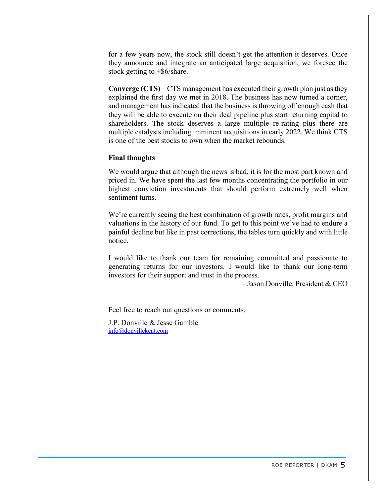for a few years now, the stock still doesn't get the attention it deserves. Once they announce and integrate an anticipated large acquisition, we foresee the stock getting to  $+\$6/\text{share}$ .

**Converge (CTS)** – CTS management has executed their growth plan just as they explained the first day we met in 2018. The business has now turned a corner, and management has indicated that the business is throwing off enough cash that they will be able to execute on their deal pipeline plus start returning capital to shareholders. The stock deserves a large multiple re-rating plus there are multiple catalysts including imminent acquisitions in early 2022. We think CTS is one of the best stocks to own when the market rebounds.

#### **Final thoughts**

We would argue that although the news is bad, it is for the most part known and priced in. We have spent the last few months concentrating the portfolio in our highest conviction investments that should perform extremely well when sentiment turns.

We're currently seeing the best combination of growth rates, profit margins and valuations in the history of our fund. To get to this point we've had to endure a painful decline but like in past corrections, the tables turn quickly and with little notice.

I would like to thank our team for remaining committed and passionate to generating returns for our investors. I would like to thank our long-term investors for their support and trust in the process.

– Jason Donville, President & CEO

Feel free to reach out questions or comments,

J.P. Donville & Jesse Gamble [info@donvillekent.com](mailto:info@donvillekent.com)